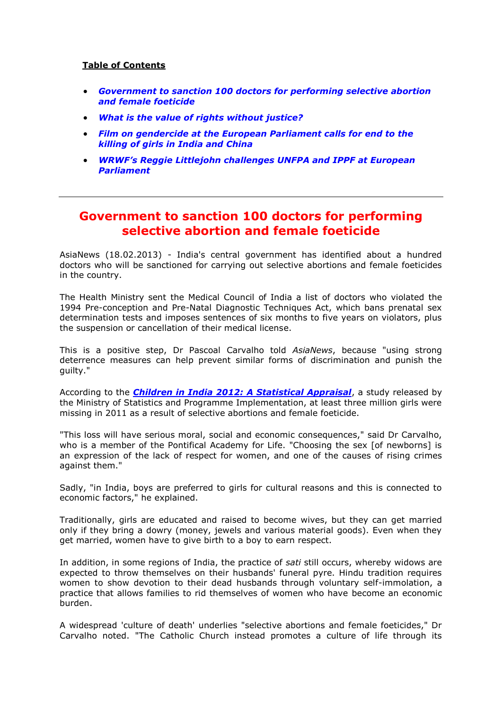#### **Table of Contents**

- *[Government to sanction 100 doctors for performing selective abortion](#page-0-0)  [and female foeticide](#page-0-0)*
- *[What is the value of rights without justice?](#page-1-0)*
- *[Film on gendercide at the European Parliament calls for end to the](#page-2-0)  [killing of girls in India and China](#page-2-0)*
- *[WRWF's Reggie Littlejohn challenges UNFPA and IPPF at European](#page-3-0)  [Parliament](#page-3-0)*

#### <span id="page-0-0"></span>**Government to sanction 100 doctors for performing selective abortion and female foeticide**

AsiaNews (18.02.2013) - India's central government has identified about a hundred doctors who will be sanctioned for carrying out selective abortions and female foeticides in the country.

The Health Ministry sent the Medical Council of India a list of doctors who violated the 1994 Pre-conception and Pre-Natal Diagnostic Techniques Act, which bans prenatal sex determination tests and imposes sentences of six months to five years on violators, plus the suspension or cancellation of their medical license.

This is a positive step, Dr Pascoal Carvalho told *AsiaNews*, because "using strong deterrence measures can help prevent similar forms of discrimination and punish the guilty."

According to the *[Children in India 2012: A Statistical Appraisal](http://www.asianews.it/news-en/Three-million-girls-missing-as-a-result-of-selective-abortions-and-infanticide-26047.html)*, a study released by the Ministry of Statistics and Programme Implementation, at least three million girls were missing in 2011 as a result of selective abortions and female foeticide.

"This loss will have serious moral, social and economic consequences," said Dr Carvalho, who is a member of the Pontifical Academy for Life. "Choosing the sex [of newborns] is an expression of the lack of respect for women, and one of the causes of rising crimes against them."

Sadly, "in India, boys are preferred to girls for cultural reasons and this is connected to economic factors," he explained.

Traditionally, girls are educated and raised to become wives, but they can get married only if they bring a dowry (money, jewels and various material goods). Even when they get married, women have to give birth to a boy to earn respect.

In addition, in some regions of India, the practice of *sati* still occurs, whereby widows are expected to throw themselves on their husbands' funeral pyre. Hindu tradition requires women to show devotion to their dead husbands through voluntary self-immolation, a practice that allows families to rid themselves of women who have become an economic burden.

A widespread 'culture of death' underlies "selective abortions and female foeticides," Dr Carvalho noted. "The Catholic Church instead promotes a culture of life through its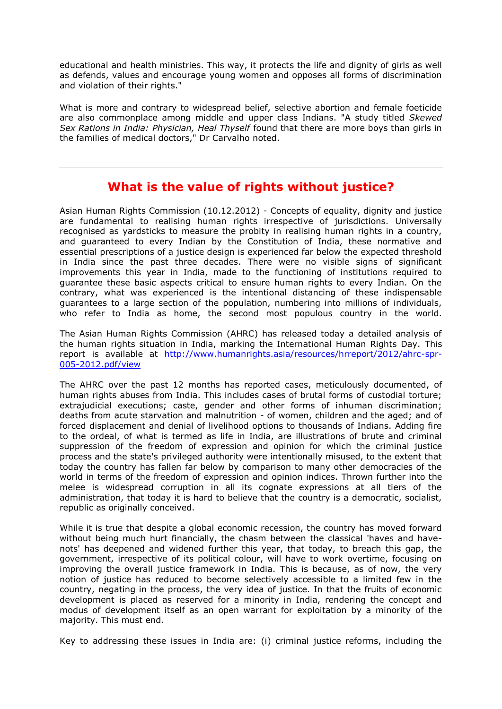educational and health ministries. This way, it protects the life and dignity of girls as well as defends, values and encourage young women and opposes all forms of discrimination and violation of their rights."

What is more and contrary to widespread belief, selective abortion and female foeticide are also commonplace among middle and upper class Indians. "A study titled *Skewed Sex Rations in India: Physician, Heal Thyself* found that there are more boys than girls in the families of medical doctors," Dr Carvalho noted.

# **What is the value of rights without justice?**

<span id="page-1-0"></span>Asian Human Rights Commission (10.12.2012) - Concepts of equality, dignity and justice are fundamental to realising human rights irrespective of jurisdictions. Universally recognised as yardsticks to measure the probity in realising human rights in a country, and guaranteed to every Indian by the Constitution of India, these normative and essential prescriptions of a justice design is experienced far below the expected threshold in India since the past three decades. There were no visible signs of significant improvements this year in India, made to the functioning of institutions required to guarantee these basic aspects critical to ensure human rights to every Indian. On the contrary, what was experienced is the intentional distancing of these indispensable guarantees to a large section of the population, numbering into millions of individuals, who refer to India as home, the second most populous country in the world.

The Asian Human Rights Commission (AHRC) has released today a detailed analysis of the human rights situation in India, marking the International Human Rights Day. This report is available at [http://www.humanrights.asia/resources/hrreport/2012/ahrc-spr-](http://www.humanrights.asia/resources/hrreport/2012/ahrc-spr-005-2012.pdf/view)[005-2012.pdf/view](http://www.humanrights.asia/resources/hrreport/2012/ahrc-spr-005-2012.pdf/view) 

The AHRC over the past 12 months has reported cases, meticulously documented, of human rights abuses from India. This includes cases of brutal forms of custodial torture; extrajudicial executions; caste, gender and other forms of inhuman discrimination; deaths from acute starvation and malnutrition - of women, children and the aged; and of forced displacement and denial of livelihood options to thousands of Indians. Adding fire to the ordeal, of what is termed as life in India, are illustrations of brute and criminal suppression of the freedom of expression and opinion for which the criminal justice process and the state's privileged authority were intentionally misused, to the extent that today the country has fallen far below by comparison to many other democracies of the world in terms of the freedom of expression and opinion indices. Thrown further into the melee is widespread corruption in all its cognate expressions at all tiers of the administration, that today it is hard to believe that the country is a democratic, socialist, republic as originally conceived.

While it is true that despite a global economic recession, the country has moved forward without being much hurt financially, the chasm between the classical 'haves and havenots' has deepened and widened further this year, that today, to breach this gap, the government, irrespective of its political colour, will have to work overtime, focusing on improving the overall justice framework in India. This is because, as of now, the very notion of justice has reduced to become selectively accessible to a limited few in the country, negating in the process, the very idea of justice. In that the fruits of economic development is placed as reserved for a minority in India, rendering the concept and modus of development itself as an open warrant for exploitation by a minority of the majority. This must end.

Key to addressing these issues in India are: (i) criminal justice reforms, including the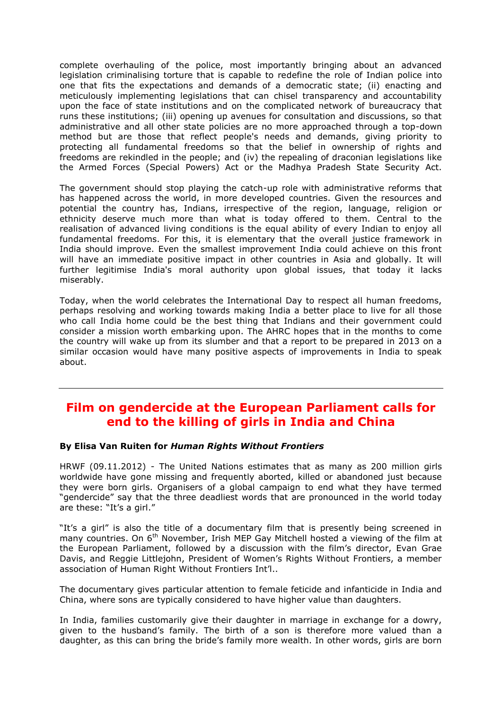complete overhauling of the police, most importantly bringing about an advanced legislation criminalising torture that is capable to redefine the role of Indian police into one that fits the expectations and demands of a democratic state; (ii) enacting and meticulously implementing legislations that can chisel transparency and accountability upon the face of state institutions and on the complicated network of bureaucracy that runs these institutions; (iii) opening up avenues for consultation and discussions, so that administrative and all other state policies are no more approached through a top-down method but are those that reflect people's needs and demands, giving priority to protecting all fundamental freedoms so that the belief in ownership of rights and freedoms are rekindled in the people; and (iv) the repealing of draconian legislations like the Armed Forces (Special Powers) Act or the Madhya Pradesh State Security Act.

The government should stop playing the catch-up role with administrative reforms that has happened across the world, in more developed countries. Given the resources and potential the country has, Indians, irrespective of the region, language, religion or ethnicity deserve much more than what is today offered to them. Central to the realisation of advanced living conditions is the equal ability of every Indian to enjoy all fundamental freedoms. For this, it is elementary that the overall justice framework in India should improve. Even the smallest improvement India could achieve on this front will have an immediate positive impact in other countries in Asia and globally. It will further legitimise India's moral authority upon global issues, that today it lacks miserably.

Today, when the world celebrates the International Day to respect all human freedoms, perhaps resolving and working towards making India a better place to live for all those who call India home could be the best thing that Indians and their government could consider a mission worth embarking upon. The AHRC hopes that in the months to come the country will wake up from its slumber and that a report to be prepared in 2013 on a similar occasion would have many positive aspects of improvements in India to speak about.

### <span id="page-2-0"></span>**Film on gendercide at the European Parliament calls for end to the killing of girls in India and China**

#### **By Elisa Van Ruiten for** *Human Rights Without Frontiers*

HRWF (09.11.2012) - The United Nations estimates that as many as 200 million girls worldwide have gone missing and frequently aborted, killed or abandoned just because they were born girls. Organisers of a global campaign to end what they have termed "gendercide" say that the three deadliest words that are pronounced in the world today are these: "It's a girl."

"It's a girl" is also the title of a documentary film that is presently being screened in many countries. On 6<sup>th</sup> November, Irish MEP Gay Mitchell hosted a viewing of the film at the European Parliament, followed by a discussion with the film's director, Evan Grae Davis, and Reggie Littlejohn, President of Women's Rights Without Frontiers, a member association of Human Right Without Frontiers Int'l..

The documentary gives particular attention to female feticide and infanticide in India and China, where sons are typically considered to have higher value than daughters.

In India, families customarily give their daughter in marriage in exchange for a dowry, given to the husband's family. The birth of a son is therefore more valued than a daughter, as this can bring the bride's family more wealth. In other words, girls are born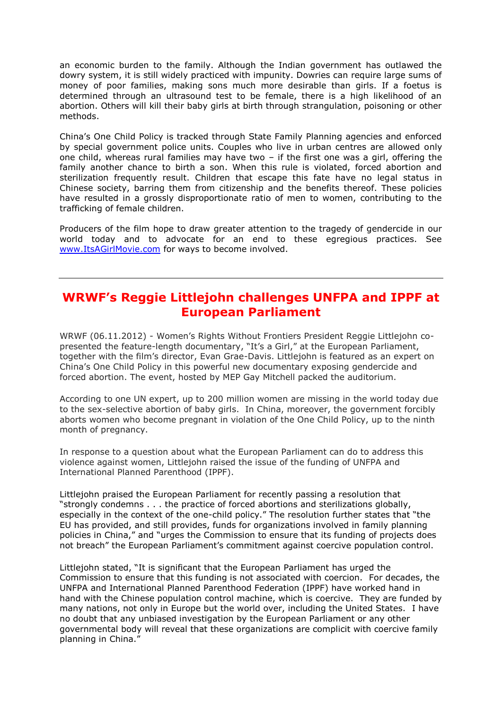an economic burden to the family. Although the Indian government has outlawed the dowry system, it is still widely practiced with impunity. Dowries can require large sums of money of poor families, making sons much more desirable than girls. If a foetus is determined through an ultrasound test to be female, there is a high likelihood of an abortion. Others will kill their baby girls at birth through strangulation, poisoning or other methods.

China's One Child Policy is tracked through State Family Planning agencies and enforced by special government police units. Couples who live in urban centres are allowed only one child, whereas rural families may have two – if the first one was a girl, offering the family another chance to birth a son. When this rule is violated, forced abortion and sterilization frequently result. Children that escape this fate have no legal status in Chinese society, barring them from citizenship and the benefits thereof. These policies have resulted in a grossly disproportionate ratio of men to women, contributing to the trafficking of female children.

Producers of the film hope to draw greater attention to the tragedy of gendercide in our world today and to advocate for an end to these egregious practices. See [www.ItsAGirlMovie.com](http://www.itsagirlmovie.com/) for ways to become involved.

## <span id="page-3-0"></span>**WRWF's Reggie Littlejohn challenges UNFPA and IPPF at European Parliament**

WRWF (06.11.2012) - Women's Rights Without Frontiers President Reggie Littlejohn copresented the feature-length documentary, "It's a Girl," at the European Parliament, together with the film's director, Evan Grae-Davis. Littlejohn is featured as an expert on China's One Child Policy in this powerful new documentary exposing gendercide and forced abortion. The event, hosted by MEP Gay Mitchell packed the auditorium.

According to one UN expert, up to 200 million women are missing in the world today due to the sex-selective abortion of baby girls. In China, moreover, the government forcibly aborts women who become pregnant in violation of the One Child Policy, up to the ninth month of pregnancy.

In response to a question about what the European Parliament can do to address this violence against women, Littlejohn raised the issue of the funding of UNFPA and International Planned Parenthood (IPPF).

Littlejohn praised the European Parliament for recently passing a resolution that "strongly condemns . . . the practice of forced abortions and sterilizations globally, especially in the context of the one-child policy." The resolution further states that "the EU has provided, and still provides, funds for organizations involved in family planning policies in China," and "urges the Commission to ensure that its funding of projects does not breach" the European Parliament's commitment against coercive population control.

Littlejohn stated, "It is significant that the European Parliament has urged the Commission to ensure that this funding is not associated with coercion. For decades, the UNFPA and International Planned Parenthood Federation (IPPF) have worked hand in hand with the Chinese population control machine, which is coercive. They are funded by many nations, not only in Europe but the world over, including the United States. I have no doubt that any unbiased investigation by the European Parliament or any other governmental body will reveal that these organizations are complicit with coercive family planning in China."